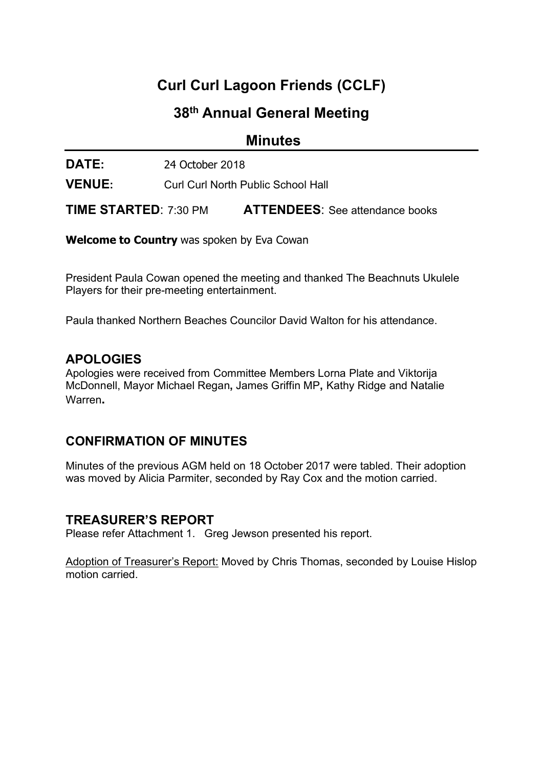# Curl Curl Lagoon Friends (CCLF)

# 38th Annual General Meeting

**Minutes** 

DATE: 24 October 2018

VENUE: Curl Curl North Public School Hall

TIME STARTED: 7:30 PM ATTENDEES: See attendance books

Welcome to Country was spoken by Eva Cowan

President Paula Cowan opened the meeting and thanked The Beachnuts Ukulele Players for their pre-meeting entertainment.

Paula thanked Northern Beaches Councilor David Walton for his attendance.

### **APOLOGIES**

Apologies were received from Committee Members Lorna Plate and Viktorija McDonnell, Mayor Michael Regan, James Griffin MP, Kathy Ridge and Natalie Warren.

## CONFIRMATION OF MINUTES

Minutes of the previous AGM held on 18 October 2017 were tabled. Their adoption was moved by Alicia Parmiter, seconded by Ray Cox and the motion carried.

### TREASURER'S REPORT

Please refer Attachment 1. Greg Jewson presented his report.

Adoption of Treasurer's Report: Moved by Chris Thomas, seconded by Louise Hislop motion carried.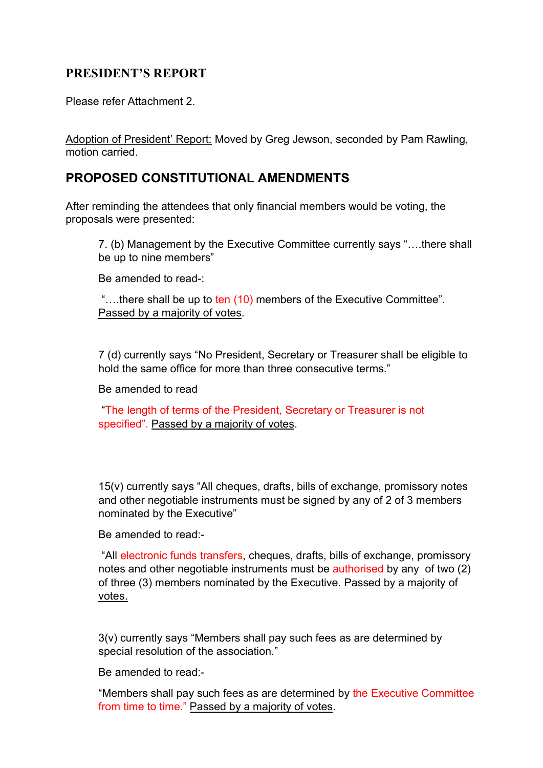### PRESIDENT'S REPORT

Please refer Attachment 2.

Adoption of President' Report: Moved by Greg Jewson, seconded by Pam Rawling, motion carried.

## PROPOSED CONSTITUTIONAL AMENDMENTS

After reminding the attendees that only financial members would be voting, the proposals were presented:

7. (b) Management by the Executive Committee currently says "….there shall be up to nine members"

Be amended to read-:

"....there shall be up to ten (10) members of the Executive Committee". Passed by a majority of votes.

7 (d) currently says "No President, Secretary or Treasurer shall be eligible to hold the same office for more than three consecutive terms."

Be amended to read

 "The length of terms of the President, Secretary or Treasurer is not specified". Passed by a majority of votes.

15(v) currently says "All cheques, drafts, bills of exchange, promissory notes and other negotiable instruments must be signed by any of 2 of 3 members nominated by the Executive"

Be amended to read:-

 "All electronic funds transfers, cheques, drafts, bills of exchange, promissory notes and other negotiable instruments must be authorised by any of two (2) of three (3) members nominated by the Executive. Passed by a majority of votes.

3(v) currently says "Members shall pay such fees as are determined by special resolution of the association."

Be amended to read:-

"Members shall pay such fees as are determined by the Executive Committee from time to time." Passed by a majority of votes.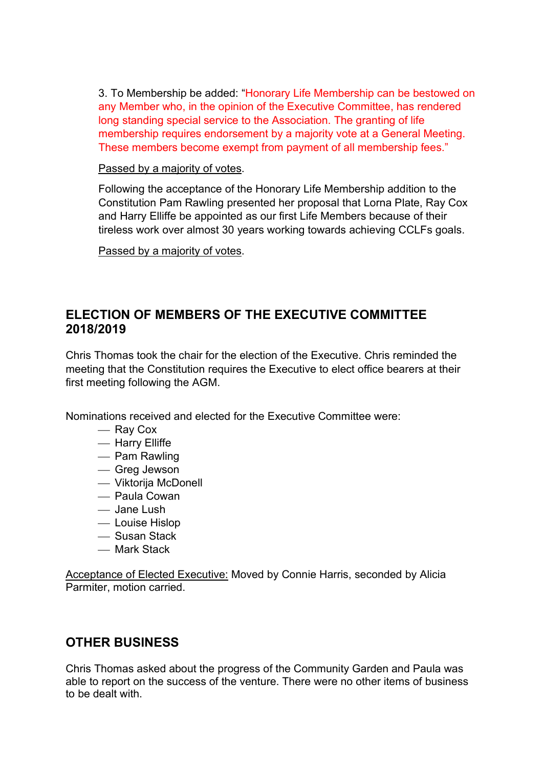3. To Membership be added: "Honorary Life Membership can be bestowed on any Member who, in the opinion of the Executive Committee, has rendered long standing special service to the Association. The granting of life membership requires endorsement by a majority vote at a General Meeting. These members become exempt from payment of all membership fees."

### Passed by a majority of votes.

Following the acceptance of the Honorary Life Membership addition to the Constitution Pam Rawling presented her proposal that Lorna Plate, Ray Cox and Harry Elliffe be appointed as our first Life Members because of their tireless work over almost 30 years working towards achieving CCLFs goals.

Passed by a majority of votes.

## ELECTION OF MEMBERS OF THE EXECUTIVE COMMITTEE 2018/2019

Chris Thomas took the chair for the election of the Executive. Chris reminded the meeting that the Constitution requires the Executive to elect office bearers at their first meeting following the AGM.

Nominations received and elected for the Executive Committee were:

- Ray Cox
- Harry Elliffe
- Pam Rawling
- Greg Jewson
- Viktorija McDonell
- Paula Cowan
- Jane Lush
- Louise Hislop
- Susan Stack
- Mark Stack

Acceptance of Elected Executive: Moved by Connie Harris, seconded by Alicia Parmiter, motion carried.

## OTHER BUSINESS

Chris Thomas asked about the progress of the Community Garden and Paula was able to report on the success of the venture. There were no other items of business to be dealt with.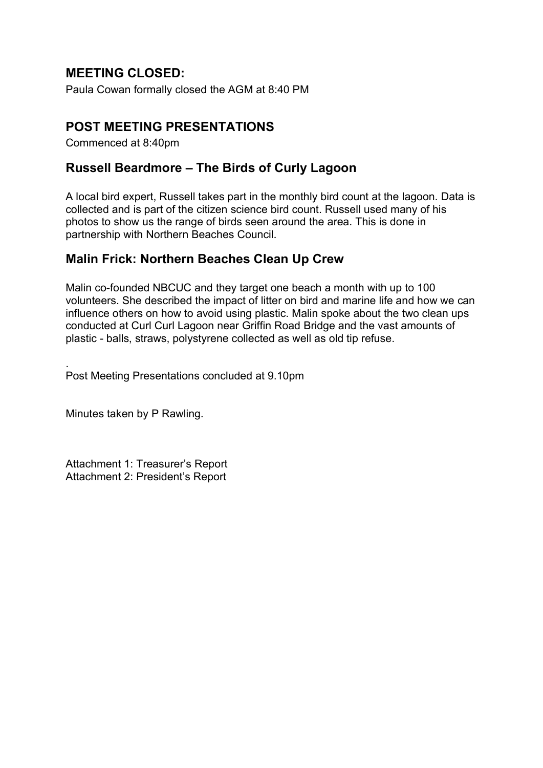## MEETING CLOSED:

Paula Cowan formally closed the AGM at 8:40 PM

## POST MEETING PRESENTATIONS

Commenced at 8:40pm

## Russell Beardmore – The Birds of Curly Lagoon

A local bird expert, Russell takes part in the monthly bird count at the lagoon. Data is collected and is part of the citizen science bird count. Russell used many of his photos to show us the range of birds seen around the area. This is done in partnership with Northern Beaches Council.

## Malin Frick: Northern Beaches Clean Up Crew

Malin co-founded NBCUC and they target one beach a month with up to 100 volunteers. She described the impact of litter on bird and marine life and how we can influence others on how to avoid using plastic. Malin spoke about the two clean ups conducted at Curl Curl Lagoon near Griffin Road Bridge and the vast amounts of plastic - balls, straws, polystyrene collected as well as old tip refuse.

. Post Meeting Presentations concluded at 9.10pm

Minutes taken by P Rawling.

Attachment 1: Treasurer's Report Attachment 2: President's Report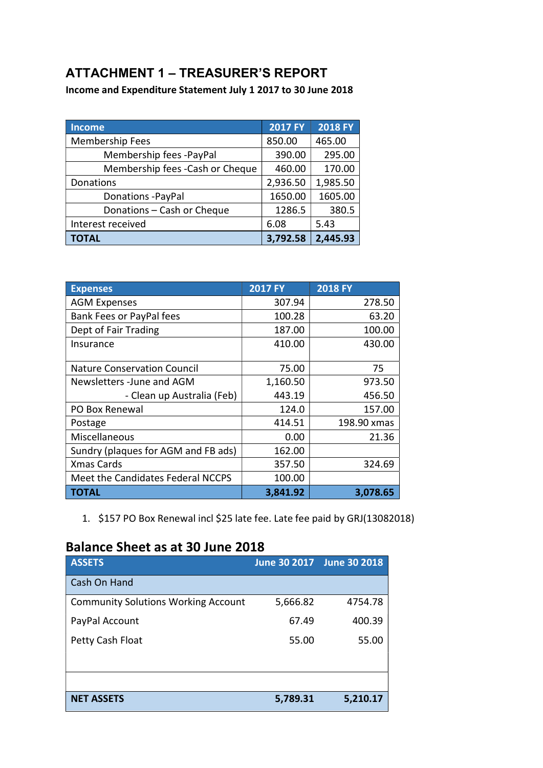# ATTACHMENT 1 – TREASURER'S REPORT

Income and Expenditure Statement July 1 2017 to 30 June 2018

| <b>Income</b>                    | <b>2017 FY</b> | <b>2018 FY</b> |
|----------------------------------|----------------|----------------|
| Membership Fees                  | 850.00         | 465.00         |
| Membership fees -PayPal          | 390.00         | 295.00         |
| Membership fees - Cash or Cheque | 460.00         | 170.00         |
| Donations                        | 2,936.50       | 1,985.50       |
| Donations - PayPal               | 1650.00        | 1605.00        |
| Donations - Cash or Cheque       | 1286.5         | 380.5          |
| Interest received                | 6.08           | 5.43           |
| <b>TOTAL</b>                     | 3,792.58       | 2,445.93       |

| <b>Expenses</b>                     | <b>2017 FY</b> | <b>2018 FY</b> |
|-------------------------------------|----------------|----------------|
| <b>AGM Expenses</b>                 | 307.94         | 278.50         |
| Bank Fees or PayPal fees            | 100.28         | 63.20          |
| Dept of Fair Trading                | 187.00         | 100.00         |
| Insurance                           | 410.00         | 430.00         |
|                                     |                |                |
| <b>Nature Conservation Council</b>  | 75.00          | 75             |
| Newsletters -June and AGM           | 1,160.50       | 973.50         |
| - Clean up Australia (Feb)          | 443.19         | 456.50         |
| PO Box Renewal                      | 124.0          | 157.00         |
| Postage                             | 414.51         | 198.90 xmas    |
| Miscellaneous                       | 0.00           | 21.36          |
| Sundry (plaques for AGM and FB ads) | 162.00         |                |
| <b>Xmas Cards</b>                   | 357.50         | 324.69         |
| Meet the Candidates Federal NCCPS   | 100.00         |                |
| ΤΟΤΑL                               | 3,841.92       | 3,078.65       |

<sup>1.</sup> \$157 PO Box Renewal incl \$25 late fee. Late fee paid by GRJ(13082018)

# Balance Sheet as at 30 June 2018

| <b>ASSETS</b>                              |          | June 30 2017 June 30 2018 |
|--------------------------------------------|----------|---------------------------|
| Cash On Hand                               |          |                           |
| <b>Community Solutions Working Account</b> | 5,666.82 | 4754.78                   |
| PayPal Account                             | 67.49    | 400.39                    |
| Petty Cash Float                           | 55.00    | 55.00                     |
|                                            |          |                           |
|                                            |          |                           |
| <b>NET ASSETS</b>                          | 5,789.31 | 5,210.17                  |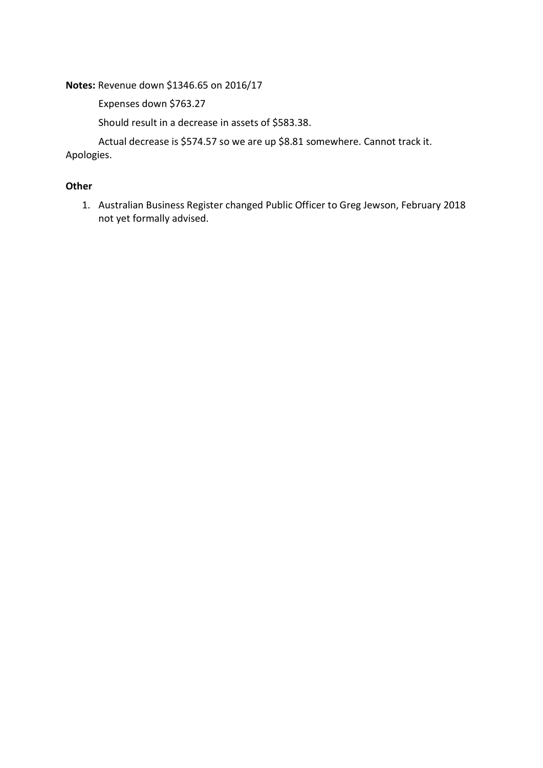Notes: Revenue down \$1346.65 on 2016/17

Expenses down \$763.27

Should result in a decrease in assets of \$583.38.

Actual decrease is \$574.57 so we are up \$8.81 somewhere. Cannot track it.

Apologies.

### **Other**

1. Australian Business Register changed Public Officer to Greg Jewson, February 2018 not yet formally advised.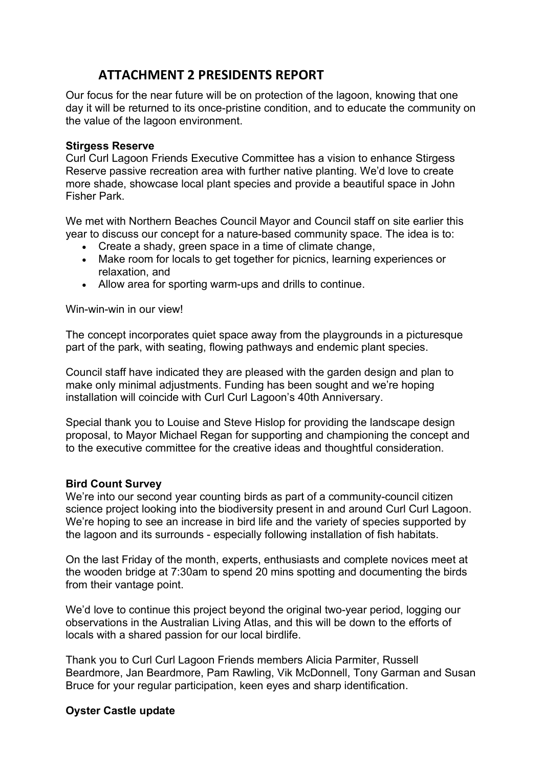## ATTACHMENT 2 PRESIDENTS REPORT

Our focus for the near future will be on protection of the lagoon, knowing that one day it will be returned to its once-pristine condition, and to educate the community on the value of the lagoon environment.

### Stirgess Reserve

Curl Curl Lagoon Friends Executive Committee has a vision to enhance Stirgess Reserve passive recreation area with further native planting. We'd love to create more shade, showcase local plant species and provide a beautiful space in John Fisher Park.

We met with Northern Beaches Council Mayor and Council staff on site earlier this year to discuss our concept for a nature-based community space. The idea is to:

- Create a shady, green space in a time of climate change,
- Make room for locals to get together for picnics, learning experiences or relaxation, and
- Allow area for sporting warm-ups and drills to continue.

Win-win-win in our view!

The concept incorporates quiet space away from the playgrounds in a picturesque part of the park, with seating, flowing pathways and endemic plant species.

Council staff have indicated they are pleased with the garden design and plan to make only minimal adjustments. Funding has been sought and we're hoping installation will coincide with Curl Curl Lagoon's 40th Anniversary.

Special thank you to Louise and Steve Hislop for providing the landscape design proposal, to Mayor Michael Regan for supporting and championing the concept and to the executive committee for the creative ideas and thoughtful consideration.

### Bird Count Survey

We're into our second year counting birds as part of a community-council citizen science project looking into the biodiversity present in and around Curl Curl Lagoon. We're hoping to see an increase in bird life and the variety of species supported by the lagoon and its surrounds - especially following installation of fish habitats.

On the last Friday of the month, experts, enthusiasts and complete novices meet at the wooden bridge at 7:30am to spend 20 mins spotting and documenting the birds from their vantage point.

We'd love to continue this project beyond the original two-year period, logging our observations in the Australian Living Atlas, and this will be down to the efforts of locals with a shared passion for our local birdlife.

Thank you to Curl Curl Lagoon Friends members Alicia Parmiter, Russell Beardmore, Jan Beardmore, Pam Rawling, Vik McDonnell, Tony Garman and Susan Bruce for your regular participation, keen eyes and sharp identification.

### Oyster Castle update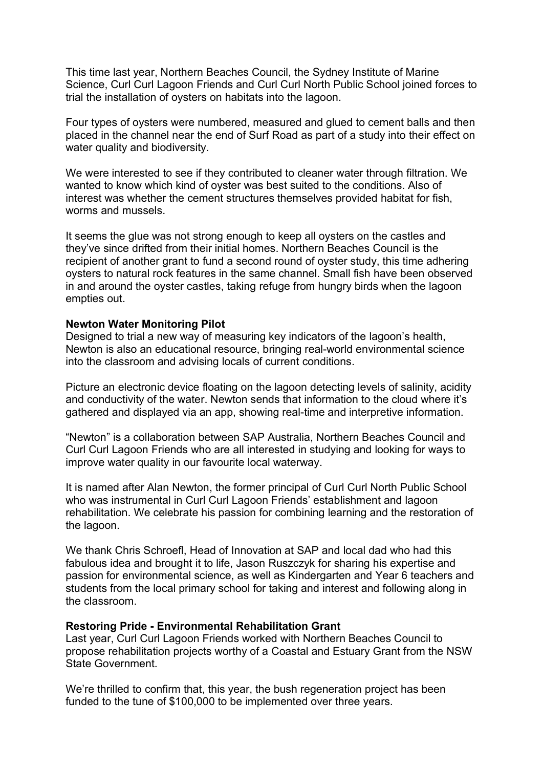This time last year, Northern Beaches Council, the Sydney Institute of Marine Science, Curl Curl Lagoon Friends and Curl Curl North Public School joined forces to trial the installation of oysters on habitats into the lagoon.

Four types of oysters were numbered, measured and glued to cement balls and then placed in the channel near the end of Surf Road as part of a study into their effect on water quality and biodiversity.

We were interested to see if they contributed to cleaner water through filtration. We wanted to know which kind of oyster was best suited to the conditions. Also of interest was whether the cement structures themselves provided habitat for fish, worms and mussels.

It seems the glue was not strong enough to keep all oysters on the castles and they've since drifted from their initial homes. Northern Beaches Council is the recipient of another grant to fund a second round of oyster study, this time adhering oysters to natural rock features in the same channel. Small fish have been observed in and around the oyster castles, taking refuge from hungry birds when the lagoon empties out.

### Newton Water Monitoring Pilot

Designed to trial a new way of measuring key indicators of the lagoon's health, Newton is also an educational resource, bringing real-world environmental science into the classroom and advising locals of current conditions.

Picture an electronic device floating on the lagoon detecting levels of salinity, acidity and conductivity of the water. Newton sends that information to the cloud where it's gathered and displayed via an app, showing real-time and interpretive information.

"Newton" is a collaboration between SAP Australia, Northern Beaches Council and Curl Curl Lagoon Friends who are all interested in studying and looking for ways to improve water quality in our favourite local waterway.

It is named after Alan Newton, the former principal of Curl Curl North Public School who was instrumental in Curl Curl Lagoon Friends' establishment and lagoon rehabilitation. We celebrate his passion for combining learning and the restoration of the lagoon.

We thank Chris Schroefl, Head of Innovation at SAP and local dad who had this fabulous idea and brought it to life, Jason Ruszczyk for sharing his expertise and passion for environmental science, as well as Kindergarten and Year 6 teachers and students from the local primary school for taking and interest and following along in the classroom.

#### Restoring Pride - Environmental Rehabilitation Grant

Last year, Curl Curl Lagoon Friends worked with Northern Beaches Council to propose rehabilitation projects worthy of a Coastal and Estuary Grant from the NSW State Government.

We're thrilled to confirm that, this year, the bush regeneration project has been funded to the tune of \$100,000 to be implemented over three years.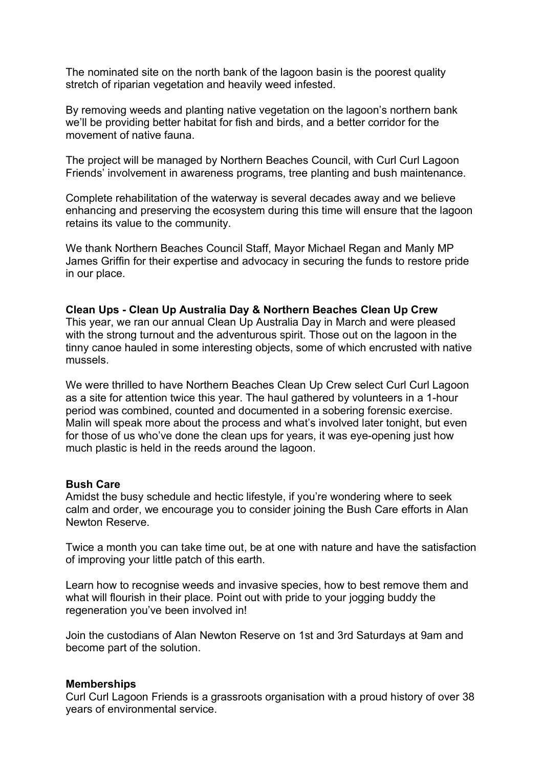The nominated site on the north bank of the lagoon basin is the poorest quality stretch of riparian vegetation and heavily weed infested.

By removing weeds and planting native vegetation on the lagoon's northern bank we'll be providing better habitat for fish and birds, and a better corridor for the movement of native fauna.

The project will be managed by Northern Beaches Council, with Curl Curl Lagoon Friends' involvement in awareness programs, tree planting and bush maintenance.

Complete rehabilitation of the waterway is several decades away and we believe enhancing and preserving the ecosystem during this time will ensure that the lagoon retains its value to the community.

We thank Northern Beaches Council Staff, Mayor Michael Regan and Manly MP James Griffin for their expertise and advocacy in securing the funds to restore pride in our place.

### Clean Ups - Clean Up Australia Day & Northern Beaches Clean Up Crew

This year, we ran our annual Clean Up Australia Day in March and were pleased with the strong turnout and the adventurous spirit. Those out on the lagoon in the tinny canoe hauled in some interesting objects, some of which encrusted with native mussels.

We were thrilled to have Northern Beaches Clean Up Crew select Curl Curl Lagoon as a site for attention twice this year. The haul gathered by volunteers in a 1-hour period was combined, counted and documented in a sobering forensic exercise. Malin will speak more about the process and what's involved later tonight, but even for those of us who've done the clean ups for years, it was eye-opening just how much plastic is held in the reeds around the lagoon.

#### Bush Care

Amidst the busy schedule and hectic lifestyle, if you're wondering where to seek calm and order, we encourage you to consider joining the Bush Care efforts in Alan Newton Reserve.

Twice a month you can take time out, be at one with nature and have the satisfaction of improving your little patch of this earth.

Learn how to recognise weeds and invasive species, how to best remove them and what will flourish in their place. Point out with pride to your jogging buddy the regeneration you've been involved in!

Join the custodians of Alan Newton Reserve on 1st and 3rd Saturdays at 9am and become part of the solution.

#### **Memberships**

Curl Curl Lagoon Friends is a grassroots organisation with a proud history of over 38 years of environmental service.